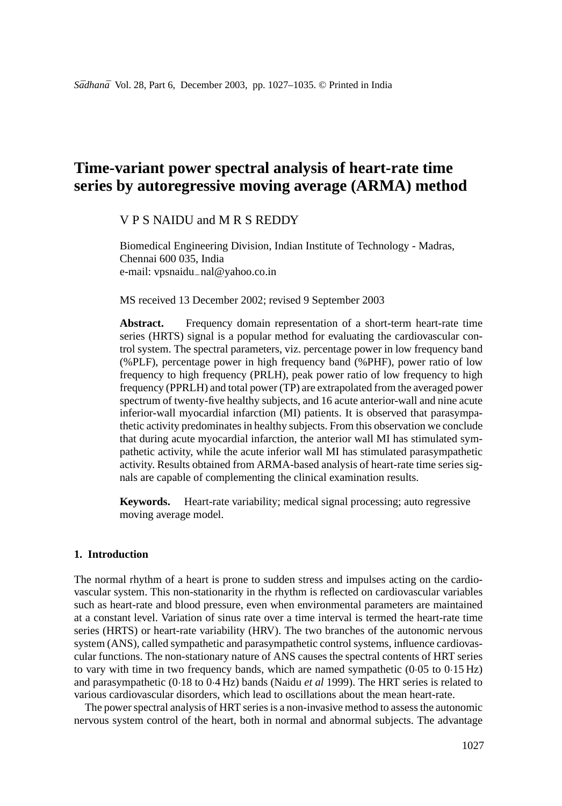# **Time-variant power spectral analysis of heart-rate time series by autoregressive moving average (ARMA) method**

# VPS NAIDU and MRS REDDY

Biomedical Engineering Division, Indian Institute of Technology - Madras, Chennai 600 035, India e-mail: vpsnaidu−nal@yahoo.co.in

MS received 13 December 2002; revised 9 September 2003

Abstract. Frequency domain representation of a short-term heart-rate time series (HRTS) signal is a popular method for evaluating the cardiovascular control system. The spectral parameters, viz. percentage power in low frequency band (%PLF), percentage power in high frequency band (%PHF), power ratio of low frequency to high frequency (PRLH), peak power ratio of low frequency to high frequency (PPRLH) and total power (TP) are extrapolated from the averaged power spectrum of twenty-five healthy subjects, and 16 acute anterior-wall and nine acute inferior-wall myocardial infarction (MI) patients. It is observed that parasympathetic activity predominates in healthy subjects. From this observation we conclude that during acute myocardial infarction, the anterior wall MI has stimulated sympathetic activity, while the acute inferior wall MI has stimulated parasympathetic activity. Results obtained from ARMA-based analysis of heart-rate time series signals are capable of complementing the clinical examination results.

**Keywords.** Heart-rate variability; medical signal processing; auto regressive moving average model.

## **1. Introduction**

The normal rhythm of a heart is prone to sudden stress and impulses acting on the cardiovascular system. This non-stationarity in the rhythm is reflected on cardiovascular variables such as heart-rate and blood pressure, even when environmental parameters are maintained at a constant level. Variation of sinus rate over a time interval is termed the heart-rate time series (HRTS) or heart-rate variability (HRV). The two branches of the autonomic nervous system (ANS), called sympathetic and parasympathetic control systems, influence cardiovascular functions. The non-stationary nature of ANS causes the spectral contents of HRT series to vary with time in two frequency bands, which are named sympathetic  $(0.05 \text{ to } 0.15 \text{ Hz})$ and parasympathetic (0·18 to 0·4 Hz) bands (Naidu *et al* 1999). The HRT series is related to various cardiovascular disorders, which lead to oscillations about the mean heart-rate.

The power spectral analysis of HRT series is a non-invasive method to assess the autonomic nervous system control of the heart, both in normal and abnormal subjects. The advantage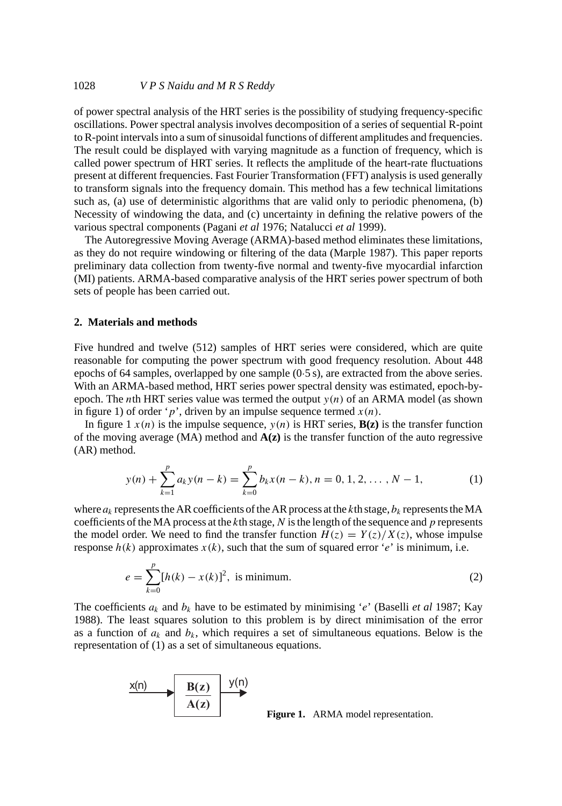of power spectral analysis of the HRT series is the possibility of studying frequency-specific oscillations. Power spectral analysis involves decomposition of a series of sequential R-point to R-point intervals into a sum of sinusoidal functions of different amplitudes and frequencies. The result could be displayed with varying magnitude as a function of frequency, which is called power spectrum of HRT series. It reflects the amplitude of the heart-rate fluctuations present at different frequencies. Fast Fourier Transformation (FFT) analysis is used generally to transform signals into the frequency domain. This method has a few technical limitations such as, (a) use of deterministic algorithms that are valid only to periodic phenomena, (b) Necessity of windowing the data, and (c) uncertainty in defining the relative powers of the various spectral components (Pagani *et al* 1976; Natalucci *et al* 1999).

The Autoregressive Moving Average (ARMA)-based method eliminates these limitations, as they do not require windowing or filtering of the data (Marple 1987). This paper reports preliminary data collection from twenty-five normal and twenty-five myocardial infarction (MI) patients. ARMA-based comparative analysis of the HRT series power spectrum of both sets of people has been carried out.

## **2. Materials and methods**

Five hundred and twelve (512) samples of HRT series were considered, which are quite reasonable for computing the power spectrum with good frequency resolution. About 448 epochs of 64 samples, overlapped by one sample (0·5 s), are extracted from the above series. With an ARMA-based method, HRT series power spectral density was estimated, epoch-byepoch. The *n*th HRT series value was termed the output  $y(n)$  of an ARMA model (as shown in figure 1) of order 'p', driven by an impulse sequence termed  $x(n)$ .

In figure 1  $x(n)$  is the impulse sequence,  $y(n)$  is HRT series,  $B(z)$  is the transfer function of the moving average (MA) method and **A(z)** is the transfer function of the auto regressive (AR) method.

$$
y(n) + \sum_{k=1}^{p} a_k y(n-k) = \sum_{k=0}^{p} b_k x(n-k), n = 0, 1, 2, ..., N-1,
$$
 (1)

where  $a_k$  represents the AR coefficients of the AR process at the kth stage,  $b_k$  represents the MA coefficients of the MA process at the  $k$ th stage,  $N$  is the length of the sequence and  $p$  represents the model order. We need to find the transfer function  $H(z) = Y(z)/X(z)$ , whose impulse response  $h(k)$  approximates  $x(k)$ , such that the sum of squared error 'e' is minimum, i.e.

$$
e = \sum_{k=0}^{p} [h(k) - x(k)]^2
$$
, is minimum. (2)

The coefficients  $a_k$  and  $b_k$  have to be estimated by minimising 'e' (Baselli *et al* 1987; Kay 1988). The least squares solution to this problem is by direct minimisation of the error as a function of  $a_k$  and  $b_k$ , which requires a set of simultaneous equations. Below is the representation of (1) as a set of simultaneous equations.



**Figure 1.** ARMA model representation.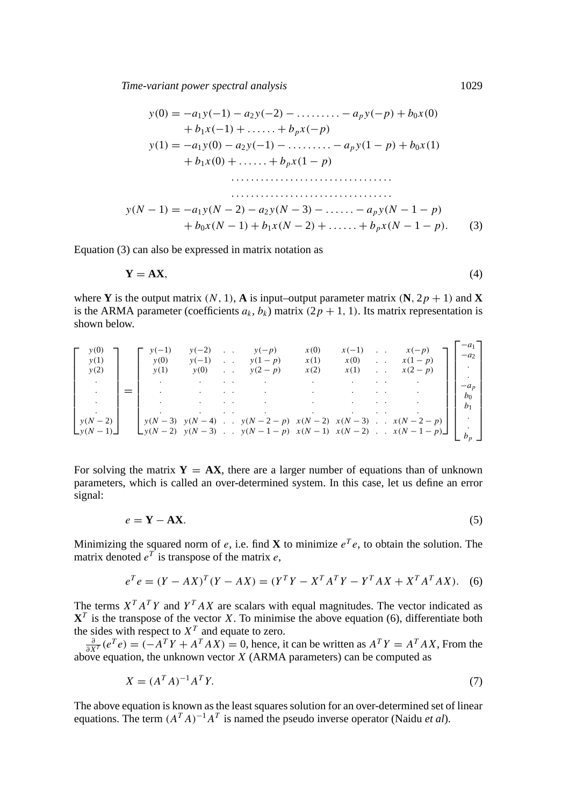*Time-variant power spectral analysis* 1029

$$
y(0) = -a_1y(-1) - a_2y(-2) - \dots + a_py(-p) + b_0x(0)
$$
  
+  $b_1x(-1) + \dots + b_px(-p)$   

$$
y(1) = -a_1y(0) - a_2y(-1) - \dots + a_py(1-p) + b_0x(1)
$$
  
+  $b_1x(0) + \dots + b_px(1-p)$   
...  

$$
y(N-1) = -a_1y(N-2) - a_2y(N-3) - \dots - a_py(N-1-p)
$$
  
+  $b_0x(N-1) + b_1x(N-2) + \dots + b_px(N-1-p)$ . (3)

Equation (3) can also be expressed in matrix notation as

$$
Y = AX,\tag{4}
$$

where **Y** is the output matrix  $(N, 1)$ , **A** is input–output parameter matrix  $(N, 2p + 1)$  and **X** is the ARMA parameter (coefficients  $a_k$ ,  $b_k$ ) matrix (2p + 1, 1). Its matrix representation is shown below.

| y(0)<br>y(1)<br>y(2)          | $y(-1)$<br>y(0)<br>y(1) | $v(-2)$<br>$y(-1)$<br>y(0) | $\sim$<br>$\ddotsc$<br>$\ddotsc$ | $y(-p)$<br>$y(1-p)$<br>$y(2-p)$ | x(0)<br>x(1)<br>x(2) | $x(-1)$<br>x(0)<br>x(1) | $\cdot$ .<br>$\cdot$ $\cdot$ | $x(1-p)$<br>$x(2-p)$                                                                                                               | $-a_1$<br>$-a2$          |
|-------------------------------|-------------------------|----------------------------|----------------------------------|---------------------------------|----------------------|-------------------------|------------------------------|------------------------------------------------------------------------------------------------------------------------------------|--------------------------|
|                               |                         | ٠<br>$\cdot$               |                                  |                                 |                      |                         |                              |                                                                                                                                    | $-a_p$<br>b <sub>1</sub> |
| $y(N-2)$<br>$\Box y(N-1)\Box$ |                         |                            |                                  |                                 |                      |                         |                              | $y(N-3)$ $y(N-4)$ $y(N-2-p)$ $x(N-2)$ $x(N-3)$ $x(N-2-p)$<br>$\bigcup y(N-2)$ $y(N-3)$ . $y(N-1-p)$ $x(N-1)$ $x(N-2)$ . $x(N-1-p)$ | $\cdot$                  |

For solving the matrix  $Y = AX$ , there are a larger number of equations than of unknown parameters, which is called an over-determined system. In this case, let us define an error signal:

$$
e = \mathbf{Y} - \mathbf{A}\mathbf{X}.\tag{5}
$$

Minimizing the squared norm of e, i.e. find **X** to minimize  $e^T e$ , to obtain the solution. The matrix denoted  $e^{T}$  is transpose of the matrix e,

$$
e^T e = (Y - AX)^T (Y - AX) = (Y^T Y - X^T A^T Y - Y^T A X + X^T A^T A X).
$$
 (6)

The terms  $X^T A^T Y$  and  $Y^T A X$  are scalars with equal magnitudes. The vector indicated as  $X<sup>T</sup>$  is the transpose of the vector X. To minimise the above equation (6), differentiate both

the sides with respect to  $X^T$  and equate to zero.<br>  $\frac{\partial}{\partial X^T} (e^T e) = (-A^T Y + A^T A X) = 0$ , hence, it can be written as  $A^T Y = A^T A X$ , From the  $\frac{\partial X^T}{\partial X^T}$  (b) above equation, the unknown vector X (ARMA parameters) can be computed as

$$
X = (A^T A)^{-1} A^T Y. \tag{7}
$$

The above equation is known as the least squares solution for an over-determined set of linear equations. The term  $(A^T A)^{-1} A^T$  is named the pseudo inverse operator (Naidu *et al*).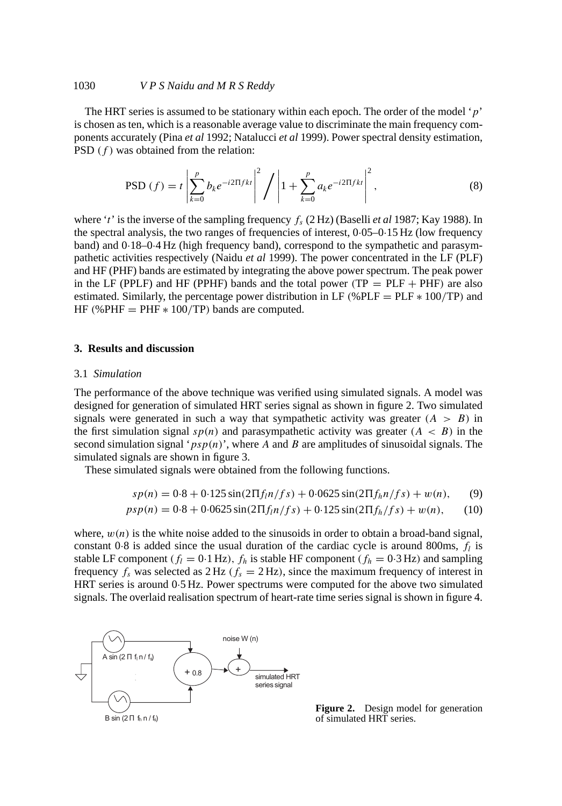#### 1030 *V P S Naidu andMRS Reddy*

The HRT series is assumed to be stationary within each epoch. The order of the model ' $p'$ ' is chosen as ten, which is a reasonable average value to discriminate the main frequency components accurately (Pina *et al* 1992; Natalucci *et al* 1999). Power spectral density estimation, PSD  $(f)$  was obtained from the relation:

$$
\text{PSD}(f) = t \left| \sum_{k=0}^{p} b_k e^{-i2 \Pi f k t} \right|^2 / \left| 1 + \sum_{k=0}^{p} a_k e^{-i2 \Pi f k t} \right|^2, \tag{8}
$$

where 't' is the inverse of the sampling frequency  $f_s$  (2 Hz) (Baselli *et al* 1987; Kay 1988). In the spectral analysis, the two ranges of frequencies of interest, 0·05–0·15 Hz (low frequency band) and 0·18–0·4 Hz (high frequency band), correspond to the sympathetic and parasympathetic activities respectively (Naidu *et al* 1999). The power concentrated in the LF (PLF) and HF (PHF) bands are estimated by integrating the above power spectrum. The peak power in the LF (PPLF) and HF (PPHF) bands and the total power ( $TP = PLF + PHF$ ) are also estimated. Similarly, the percentage power distribution in LF (%PLF =  $PLF * 100(TP)$  and HF (%PHF  $=$  PHF  $* 100$ /TP) bands are computed.

#### **3. Results and discussion**

#### 3.1 *Simulation*

The performance of the above technique was verified using simulated signals. A model was designed for generation of simulated HRT series signal as shown in figure 2. Two simulated signals were generated in such a way that sympathetic activity was greater  $(A > B)$  in the first simulation signal  $sp(n)$  and parasympathetic activity was greater  $(A < B)$  in the second simulation signal ' $psp(n)$ ', where A and B are amplitudes of sinusoidal signals. The simulated signals are shown in figure 3.

These simulated signals were obtained from the following functions.

$$
sp(n) = 0.8 + 0.125 \sin(2\pi f_l n / fs) + 0.0625 \sin(2\pi f_h n / fs) + w(n), \qquad (9)
$$

$$
psp(n) = 0.8 + 0.0625 \sin(2\Pi f_l n / fs) + 0.125 \sin(2\Pi f_h / fs) + w(n), \qquad (10)
$$

where,  $w(n)$  is the white noise added to the sinusoids in order to obtain a broad-band signal, constant 0.8 is added since the usual duration of the cardiac cycle is around 800ms,  $f_l$  is stable LF component ( $f_l = 0.1$  Hz),  $f_h$  is stable HF component ( $f_h = 0.3$  Hz) and sampling frequency  $f_s$  was selected as  $2 \text{ Hz}$  ( $f_s = 2 \text{ Hz}$ ), since the maximum frequency of interest in HRT series is around 0·5 Hz. Power spectrums were computed for the above two simulated signals. The overlaid realisation spectrum of heart-rate time series signal is shown in figure 4.



**Figure 2.** Design model for generation of simulated HRT series.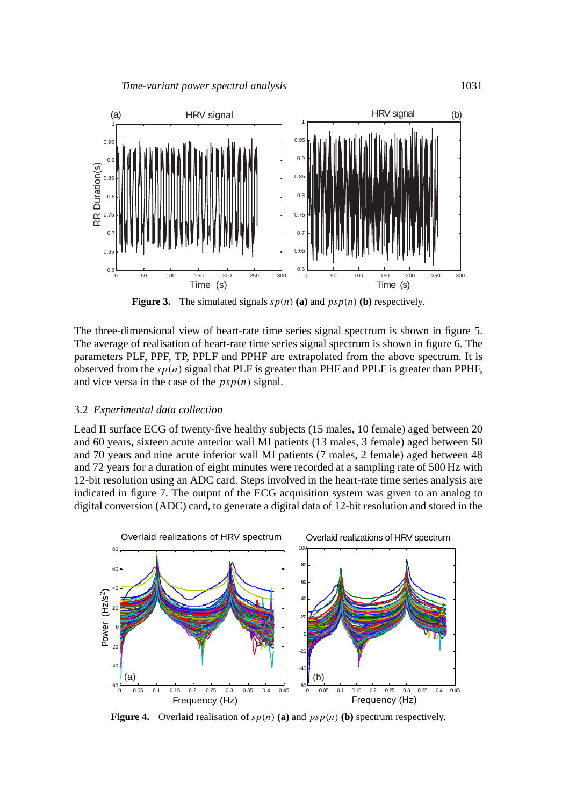

**Figure 3.** The simulated signals  $sp(n)$  (a) and  $psp(n)$  (b) respectively.

The three-dimensional view of heart-rate time series signal spectrum is shown in figure 5. The average of realisation of heart-rate time series signal spectrum is shown in figure 6. The parameters PLF, PPF, TP, PPLF and PPHF are extrapolated from the above spectrum. It is observed from the  $sp(n)$  signal that PLF is greater than PHF and PPLF is greater than PPHF, and vice versa in the case of the  $psp(n)$  signal.

#### 3.2 *Experimental data collection*

Lead II surface ECG of twenty-five healthy subjects (15 males, 10 female) aged between 20 and 60 years, sixteen acute anterior wall MI patients (13 males, 3 female) aged between 50 and 70 years and nine acute inferior wall MI patients (7 males, 2 female) aged between 48 and 72 years for a duration of eight minutes were recorded at a sampling rate of 500 Hz with 12-bit resolution using an ADC card. Steps involved in the heart-rate time series analysis are indicated in figure 7. The output of the ECG acquisition system was given to an analog to digital conversion (ADC) card, to generate a digital data of 12-bit resolution and stored in the



**Figure 4.** Overlaid realisation of  $sp(n)$  (a) and  $psp(n)$  (b) spectrum respectively.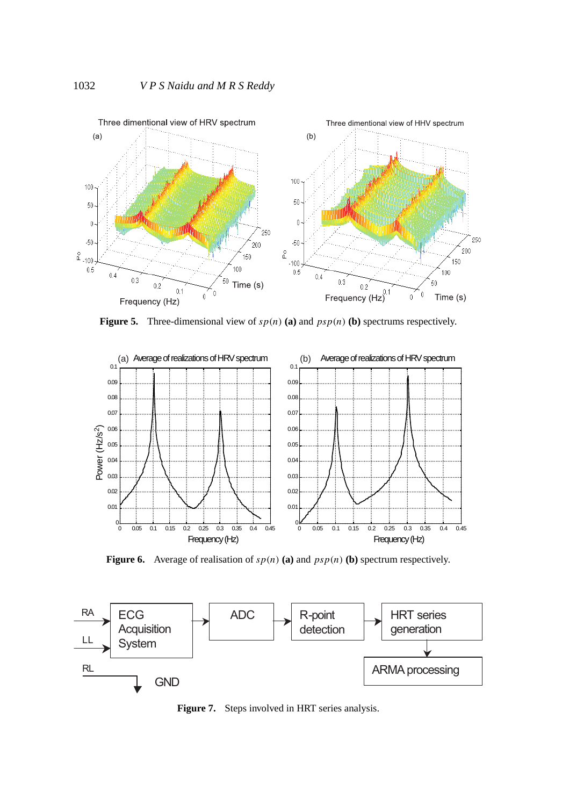

**Figure 5.** Three-dimensional view of  $sp(n)$  (a) and  $psp(n)$  (b) spectrums respectively.



**Figure 6.** Average of realisation of  $sp(n)$  (a) and  $psp(n)$  (b) spectrum respectively.



**Figure 7.** Steps involved in HRT series analysis.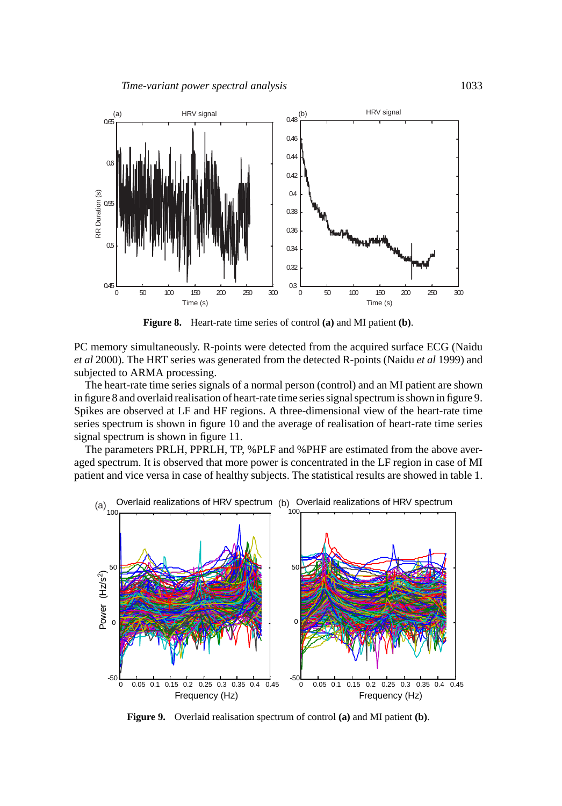

**Figure 8.** Heart-rate time series of control **(a)** and MI patient **(b)**.

PC memory simultaneously. R-points were detected from the acquired surface ECG (Naidu *et al* 2000). The HRT series was generated from the detected R-points (Naidu *et al* 1999) and subjected to ARMA processing.

The heart-rate time series signals of a normal person (control) and an MI patient are shown in figure 8 and overlaid realisation of heart-rate time series signal spectrum is shown in figure 9. Spikes are observed at LF and HF regions. A three-dimensional view of the heart-rate time series spectrum is shown in figure 10 and the average of realisation of heart-rate time series signal spectrum is shown in figure 11.

The parameters PRLH, PPRLH, TP, %PLF and %PHF are estimated from the above averaged spectrum. It is observed that more power is concentrated in the LF region in case of MI patient and vice versa in case of healthy subjects. The statistical results are showed in table 1.



**Figure 9.** Overlaid realisation spectrum of control **(a)** and MI patient **(b)**.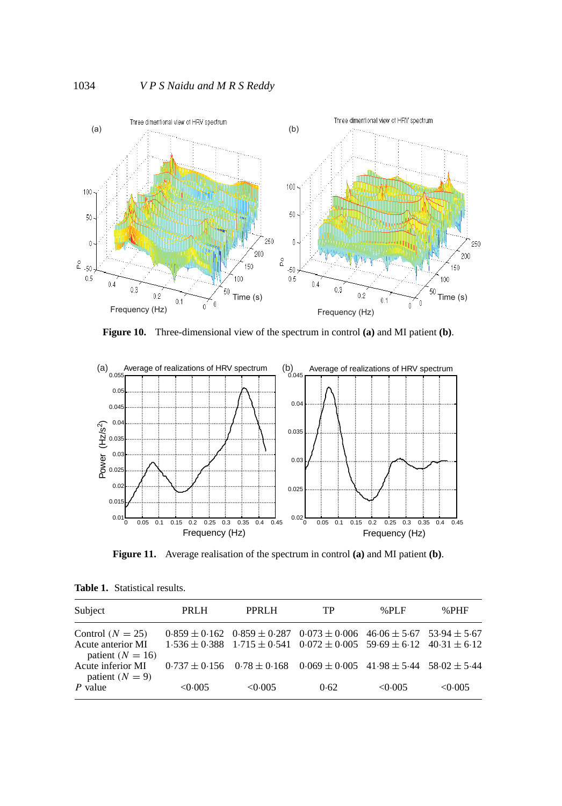

**Figure 10.** Three-dimensional view of the spectrum in control **(a)** and MI patient **(b)**.



**Figure 11.** Average realisation of the spectrum in control **(a)** and MI patient **(b)**.

| Subject                                   | <b>PRLH</b>     | PPRLH   | TP                                                                                      | $%$ PLF | $%$ PHF |
|-------------------------------------------|-----------------|---------|-----------------------------------------------------------------------------------------|---------|---------|
|                                           |                 |         |                                                                                         |         |         |
| Control $(N = 25)$                        |                 |         | $0.859 \pm 0.162$ $0.859 \pm 0.287$ $0.073 \pm 0.006$ $46.06 \pm 5.67$ $53.94 \pm 5.67$ |         |         |
| Acute anterior MI<br>patient ( $N = 16$ ) |                 |         | $1.536 \pm 0.388$ $1.715 \pm 0.541$ $0.072 \pm 0.005$ $59.69 \pm 6.12$ $40.31 \pm 6.12$ |         |         |
| Acute inferior MI<br>patient $(N = 9)$    | $0.737 + 0.156$ |         | $0.78 \pm 0.168$ $0.069 \pm 0.005$ $41.98 \pm 5.44$ $58.02 \pm 5.44$                    |         |         |
| P value                                   | < 0.005         | < 0.005 | 0.62                                                                                    | < 0.005 | < 0.005 |

**Table 1.** Statistical results.